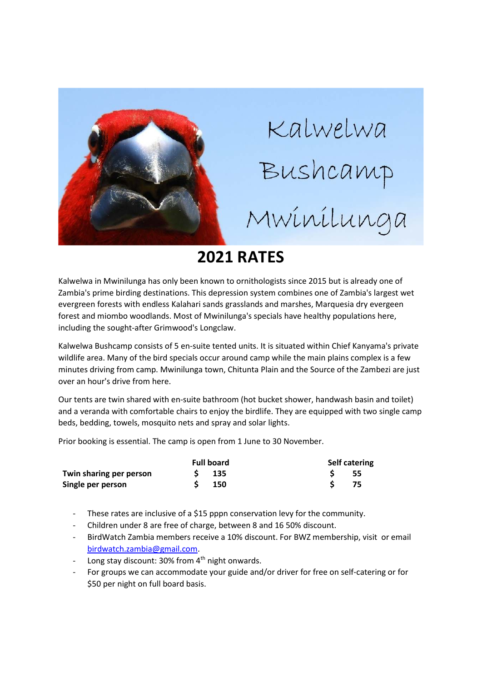

## **2021 RATES**

Kalwelwa in Mwinilunga has only been known to ornithologists since 2015 but is already one of Zambia's prime birding destinations. This depression system combines one of Zambia's largest wet evergreen forests with endless Kalahari sands grasslands and marshes, Marquesia dry evergeen forest and miombo woodlands. Most of Mwinilunga's specials have healthy populations here, including the sought-after Grimwood's Longclaw.

Kalwelwa Bushcamp consists of 5 en-suite tented units. It is situated within Chief Kanyama's private wildlife area. Many of the bird specials occur around camp while the main plains complex is a few minutes driving from camp. Mwinilunga town, Chitunta Plain and the Source of the Zambezi are just over an hour's drive from here.

Our tents are twin shared with en-suite bathroom (hot bucket shower, handwash basin and toilet) and a veranda with comfortable chairs to enjoy the birdlife. They are equipped with two single camp beds, bedding, towels, mosquito nets and spray and solar lights.

Prior booking is essential. The camp is open from 1 June to 30 November.

|                         | <b>Full board</b> |         | <b>Self catering</b> |      |
|-------------------------|-------------------|---------|----------------------|------|
| Twin sharing per person |                   | $S$ 135 |                      | - 55 |
| Single per person       |                   | - 150   |                      | -75  |

- These rates are inclusive of a \$15 pppn conservation levy for the community.
- Children under 8 are free of charge, between 8 and 16 50% discount.
- BirdWatch Zambia members receive a 10% discount. For BWZ membership, visit or email birdwatch.zambia@gmail.com.
- Long stay discount:  $30\%$  from  $4<sup>th</sup>$  night onwards.
- For groups we can accommodate your guide and/or driver for free on self-catering or for \$50 per night on full board basis.